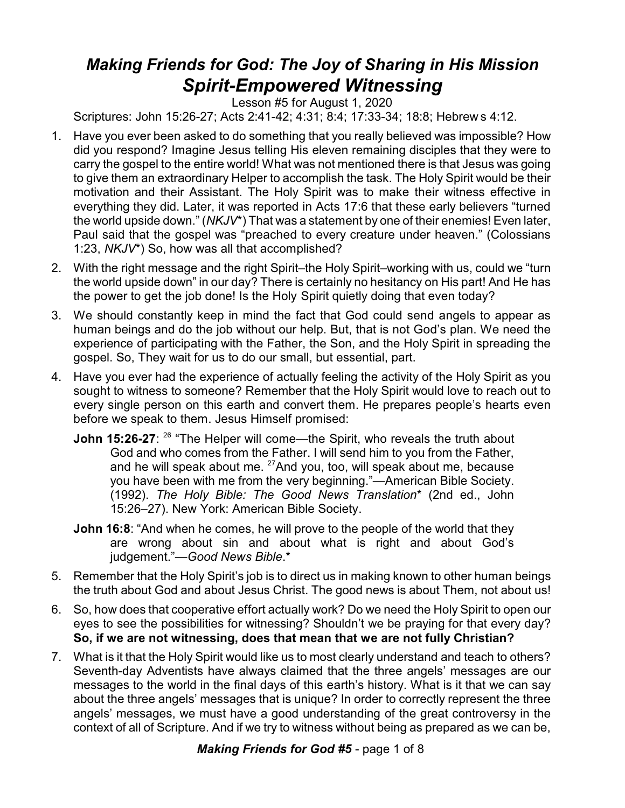## *Making Friends for God: The Joy of Sharing in His Mission Spirit-Empowered Witnessing*

Lesson #5 for August 1, 2020

Scriptures: John 15:26-27; Acts 2:41-42; 4:31; 8:4; 17:33-34; 18:8; Hebrew s 4:12.

- 1. Have you ever been asked to do something that you really believed was impossible? How did you respond? Imagine Jesus telling His eleven remaining disciples that they were to carry the gospel to the entire world! What was not mentioned there is that Jesus was going to give them an extraordinary Helper to accomplish the task. The Holy Spirit would be their motivation and their Assistant. The Holy Spirit was to make their witness effective in everything they did. Later, it was reported in Acts 17:6 that these early believers "turned the world upside down." (*NKJV*\*) That was a statement by one of their enemies! Even later, Paul said that the gospel was "preached to every creature under heaven." (Colossians 1:23, *NKJV*\*) So, how was all that accomplished?
- 2. With the right message and the right Spirit–the Holy Spirit–working with us, could we "turn the world upside down" in our day? There is certainly no hesitancy on His part! And He has the power to get the job done! Is the Holy Spirit quietly doing that even today?
- 3. We should constantly keep in mind the fact that God could send angels to appear as human beings and do the job without our help. But, that is not God's plan. We need the experience of participating with the Father, the Son, and the Holy Spirit in spreading the gospel. So, They wait for us to do our small, but essential, part.
- 4. Have you ever had the experience of actually feeling the activity of the Holy Spirit as you sought to witness to someone? Remember that the Holy Spirit would love to reach out to every single person on this earth and convert them. He prepares people's hearts even before we speak to them. Jesus Himself promised:
	- **John 15:26-27:** <sup>26</sup> "The Helper will come—the Spirit, who reveals the truth about God and who comes from the Father. I will send him to you from the Father, and he will speak about me. <sup>27</sup>And you, too, will speak about me, because you have been with me from the very beginning."—American Bible Society. (1992). *The Holy Bible: The Good News Translation*\* (2nd ed., John 15:26–27). New York: American Bible Society.
	- **John 16:8**: "And when he comes, he will prove to the people of the world that they are wrong about sin and about what is right and about God's judgement."—*Good News Bible*.\*
- 5. Remember that the Holy Spirit's job is to direct us in making known to other human beings the truth about God and about Jesus Christ. The good news is about Them, not about us!
- 6. So, how does that cooperative effort actually work? Do we need the Holy Spirit to open our eyes to see the possibilities for witnessing? Shouldn't we be praying for that every day? **So, if we are not witnessing, does that mean that we are not fully Christian?**
- 7. What is it that the Holy Spirit would like us to most clearly understand and teach to others? Seventh-day Adventists have always claimed that the three angels' messages are our messages to the world in the final days of this earth's history. What is it that we can say about the three angels' messages that is unique? In order to correctly represent the three angels' messages, we must have a good understanding of the great controversy in the context of all of Scripture. And if we try to witness without being as prepared as we can be,

## *Making Friends for God #5* - page 1 of 8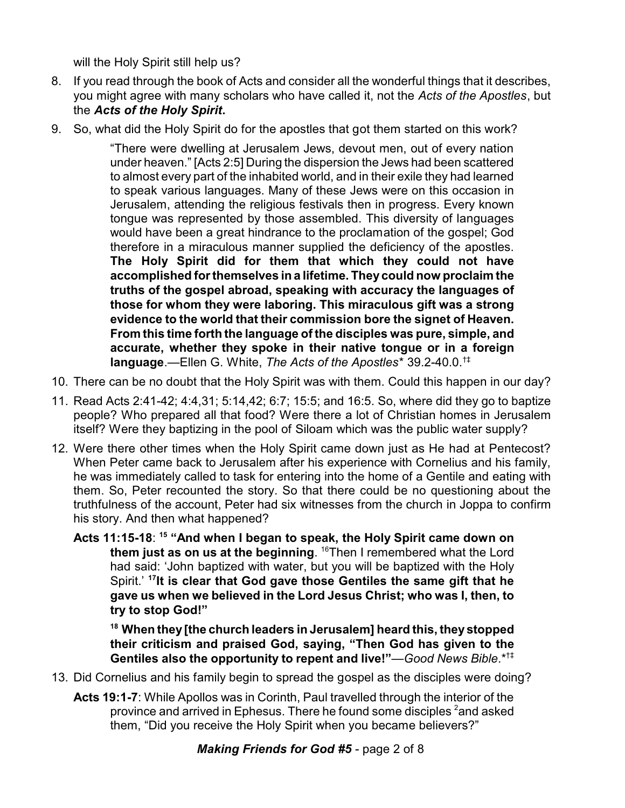will the Holy Spirit still help us?

- 8. If you read through the book of Acts and consider all the wonderful things that it describes, you might agree with many scholars who have called it, not the *Acts of the Apostles*, but the *Acts of the Holy Spirit***.**
- 9. So, what did the Holy Spirit do for the apostles that got them started on this work?

"There were dwelling at Jerusalem Jews, devout men, out of every nation under heaven." [Acts 2:5] During the dispersion the Jews had been scattered to almost every part of the inhabited world, and in their exile they had learned to speak various languages. Many of these Jews were on this occasion in Jerusalem, attending the religious festivals then in progress. Every known tongue was represented by those assembled. This diversity of languages would have been a great hindrance to the proclamation of the gospel; God therefore in a miraculous manner supplied the deficiency of the apostles. **The Holy Spirit did for them that which they could not have accomplished for themselves in a lifetime. They could now proclaim the truths of the gospel abroad, speaking with accuracy the languages of those for whom they were laboring. This miraculous gift was a strong evidence to the world that their commission bore the signet of Heaven. From this time forth the language of the disciples was pure, simple, and accurate, whether they spoke in their native tongue or in a foreign language**.—Ellen G. White, *The Acts of the Apostles*\* 39.2-40.0.†‡

- 10. There can be no doubt that the Holy Spirit was with them. Could this happen in our day?
- 11. Read Acts 2:41-42; 4:4,31; 5:14,42; 6:7; 15:5; and 16:5. So, where did they go to baptize people? Who prepared all that food? Were there a lot of Christian homes in Jerusalem itself? Were they baptizing in the pool of Siloam which was the public water supply?
- 12. Were there other times when the Holy Spirit came down just as He had at Pentecost? When Peter came back to Jerusalem after his experience with Cornelius and his family, he was immediately called to task for entering into the home of a Gentile and eating with them. So, Peter recounted the story. So that there could be no questioning about the truthfulness of the account, Peter had six witnesses from the church in Joppa to confirm his story. And then what happened?
	- Acts 11:15-18: <sup>15</sup> "And when I began to speak, the Holy Spirit came down on **them just as on us at the beginning**. <sup>16</sup>Then I remembered what the Lord had said: 'John baptized with water, but you will be baptized with the Holy Spirit.' **<sup>17</sup> It is clear that God gave those Gentiles the same gift that he gave us when we believed in the Lord Jesus Christ; who was I, then, to try to stop God!"**

**18 When they [the church leaders in Jerusalem] heard this, they stopped their criticism and praised God, saying, "Then God has given to the Gentiles also the opportunity to repent and live!"**—*Good News Bible*.\*†‡

- 13. Did Cornelius and his family begin to spread the gospel as the disciples were doing?
	- **Acts 19:1-7**: While Apollos was in Corinth, Paul travelled through the interior of the province and arrived in Ephesus. There he found some disciples  $^{\text{2}}$ and asked them, "Did you receive the Holy Spirit when you became believers?"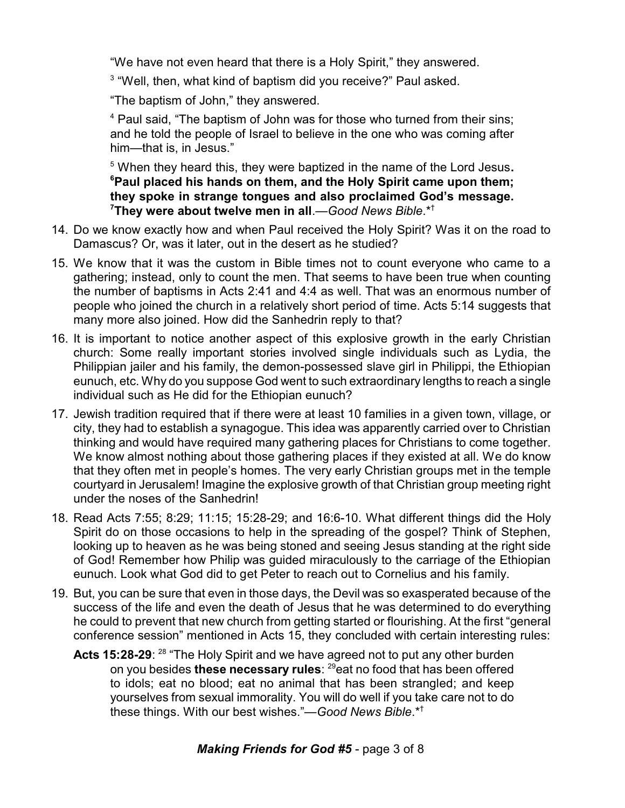"We have not even heard that there is a Holy Spirit," they answered.

<sup>3</sup> "Well, then, what kind of baptism did you receive?" Paul asked.

"The baptism of John," they answered.

<sup>4</sup> Paul said, "The baptism of John was for those who turned from their sins; and he told the people of Israel to believe in the one who was coming after him—that is, in Jesus."

 When they heard this, they were baptized in the name of the Lord Jesus**. Paul placed his hands on them, and the Holy Spirit came upon them; they spoke in strange tongues and also proclaimed God's message. They were about twelve men in all**.—*Good News Bible*.\*†

- 14. Do we know exactly how and when Paul received the Holy Spirit? Was it on the road to Damascus? Or, was it later, out in the desert as he studied?
- 15. We know that it was the custom in Bible times not to count everyone who came to a gathering; instead, only to count the men. That seems to have been true when counting the number of baptisms in Acts 2:41 and 4:4 as well. That was an enormous number of people who joined the church in a relatively short period of time. Acts 5:14 suggests that many more also joined. How did the Sanhedrin reply to that?
- 16. It is important to notice another aspect of this explosive growth in the early Christian church: Some really important stories involved single individuals such as Lydia, the Philippian jailer and his family, the demon-possessed slave girl in Philippi, the Ethiopian eunuch, etc. Why do you suppose God went to such extraordinary lengths to reach a single individual such as He did for the Ethiopian eunuch?
- 17. Jewish tradition required that if there were at least 10 families in a given town, village, or city, they had to establish a synagogue. This idea was apparently carried over to Christian thinking and would have required many gathering places for Christians to come together. We know almost nothing about those gathering places if they existed at all. We do know that they often met in people's homes. The very early Christian groups met in the temple courtyard in Jerusalem! Imagine the explosive growth of that Christian group meeting right under the noses of the Sanhedrin!
- 18. Read Acts 7:55; 8:29; 11:15; 15:28-29; and 16:6-10. What different things did the Holy Spirit do on those occasions to help in the spreading of the gospel? Think of Stephen, looking up to heaven as he was being stoned and seeing Jesus standing at the right side of God! Remember how Philip was guided miraculously to the carriage of the Ethiopian eunuch. Look what God did to get Peter to reach out to Cornelius and his family.
- 19. But, you can be sure that even in those days, the Devil was so exasperated because of the success of the life and even the death of Jesus that he was determined to do everything he could to prevent that new church from getting started or flourishing. At the first "general conference session" mentioned in Acts 15, they concluded with certain interesting rules:
	- Acts 15:28-29: <sup>28</sup> "The Holy Spirit and we have agreed not to put any other burden on you besides **these necessary rules**: <sup>29</sup>eat no food that has been offered to idols; eat no blood; eat no animal that has been strangled; and keep yourselves from sexual immorality. You will do well if you take care not to do these things. With our best wishes."—*Good News Bible*.\*†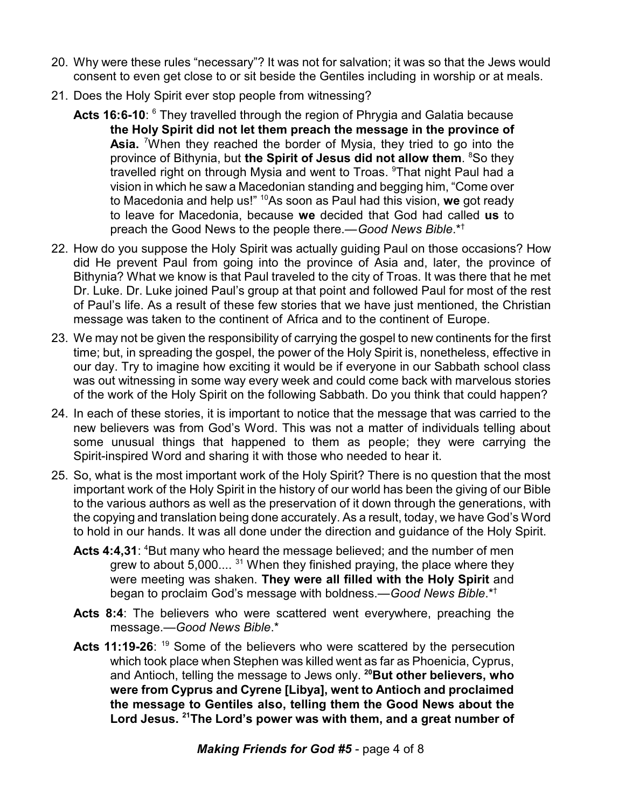- 20. Why were these rules "necessary"? It was not for salvation; it was so that the Jews would consent to even get close to or sit beside the Gentiles including in worship or at meals.
- 21. Does the Holy Spirit ever stop people from witnessing?
	- Acts 16:6-10: <sup>6</sup> They travelled through the region of Phrygia and Galatia because **the Holy Spirit did not let them preach the message in the province of** Asia. <sup>7</sup>When they reached the border of Mysia, they tried to go into the province of Bithynia, but **the Spirit of Jesus did not allow them**. <sup>8</sup>So they travelled right on through Mysia and went to Troas. <sup>9</sup>That night Paul had a vision in which he saw a Macedonian standing and begging him, "Come over to Macedonia and help us!" <sup>10</sup>As soon as Paul had this vision, **we** got ready to leave for Macedonia, because **we** decided that God had called **us** to preach the Good News to the people there.—*Good News Bible*.\*†
- 22. How do you suppose the Holy Spirit was actually guiding Paul on those occasions? How did He prevent Paul from going into the province of Asia and, later, the province of Bithynia? What we know is that Paul traveled to the city of Troas. It was there that he met Dr. Luke. Dr. Luke joined Paul's group at that point and followed Paul for most of the rest of Paul's life. As a result of these few stories that we have just mentioned, the Christian message was taken to the continent of Africa and to the continent of Europe.
- 23. We may not be given the responsibility of carrying the gospel to new continents for the first time; but, in spreading the gospel, the power of the Holy Spirit is, nonetheless, effective in our day. Try to imagine how exciting it would be if everyone in our Sabbath school class was out witnessing in some way every week and could come back with marvelous stories of the work of the Holy Spirit on the following Sabbath. Do you think that could happen?
- 24. In each of these stories, it is important to notice that the message that was carried to the new believers was from God's Word. This was not a matter of individuals telling about some unusual things that happened to them as people; they were carrying the Spirit-inspired Word and sharing it with those who needed to hear it.
- 25. So, what is the most important work of the Holy Spirit? There is no question that the most important work of the Holy Spirit in the history of our world has been the giving of our Bible to the various authors as well as the preservation of it down through the generations, with the copying and translation being done accurately. As a result, today, we have God's Word to hold in our hands. It was all done under the direction and guidance of the Holy Spirit.
	- Acts 4:4,31: <sup>4</sup>But many who heard the message believed; and the number of men grew to about  $5,000...$   $31$  When they finished praying, the place where they were meeting was shaken. **They were all filled with the Holy Spirit** and began to proclaim God's message with boldness.—*Good News Bible*.\*†
	- **Acts 8:4**: The believers who were scattered went everywhere, preaching the message.—*Good News Bible*.\*
	- **Acts 11:19-26**: <sup>19</sup> Some of the believers who were scattered by the persecution which took place when Stephen was killed went as far as Phoenicia, Cyprus, and Antioch, telling the message to Jews only. **<sup>20</sup>But other believers, who were from Cyprus and Cyrene [Libya], went to Antioch and proclaimed the message to Gentiles also, telling them the Good News about the Lord Jesus. <sup>21</sup>The Lord's power was with them, and a great number of**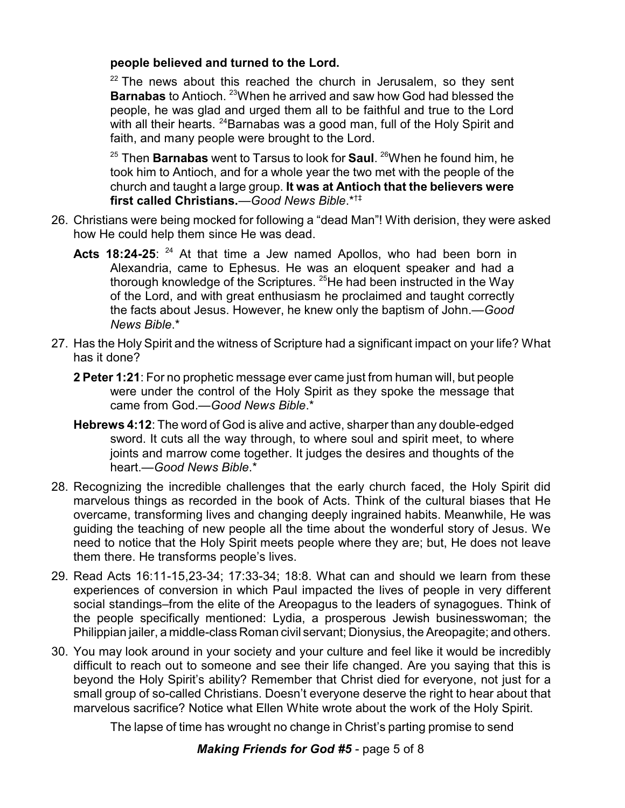## **people believed and turned to the Lord.**

 $22$  The news about this reached the church in Jerusalem, so they sent **Barnabas** to Antioch. <sup>23</sup>When he arrived and saw how God had blessed the people, he was glad and urged them all to be faithful and true to the Lord with all their hearts. <sup>24</sup>Barnabas was a good man, full of the Holy Spirit and faith, and many people were brought to the Lord.

<sup>25</sup> Then **Barnabas** went to Tarsus to look for **Saul**. <sup>26</sup>When he found him, he took him to Antioch, and for a whole year the two met with the people of the church and taught a large group. **It was at Antioch that the believers were first called Christians.**—*Good News Bible*.\*†‡

- 26. Christians were being mocked for following a "dead Man"! With derision, they were asked how He could help them since He was dead.
	- Acts 18:24-25: <sup>24</sup> At that time a Jew named Apollos, who had been born in Alexandria, came to Ephesus. He was an eloquent speaker and had a thorough knowledge of the Scriptures. <sup>25</sup>He had been instructed in the Way of the Lord, and with great enthusiasm he proclaimed and taught correctly the facts about Jesus. However, he knew only the baptism of John.—*Good News Bible*.\*
- 27. Has the Holy Spirit and the witness of Scripture had a significant impact on your life? What has it done?
	- **2 Peter 1:21**: For no prophetic message ever came just from human will, but people were under the control of the Holy Spirit as they spoke the message that came from God.—*Good News Bible*.\*
	- **Hebrews 4:12**: The word of God is alive and active, sharper than any double-edged sword. It cuts all the way through, to where soul and spirit meet, to where joints and marrow come together. It judges the desires and thoughts of the heart.—*Good News Bible*.\*
- 28. Recognizing the incredible challenges that the early church faced, the Holy Spirit did marvelous things as recorded in the book of Acts. Think of the cultural biases that He overcame, transforming lives and changing deeply ingrained habits. Meanwhile, He was guiding the teaching of new people all the time about the wonderful story of Jesus. We need to notice that the Holy Spirit meets people where they are; but, He does not leave them there. He transforms people's lives.
- 29. Read Acts 16:11-15,23-34; 17:33-34; 18:8. What can and should we learn from these experiences of conversion in which Paul impacted the lives of people in very different social standings–from the elite of the Areopagus to the leaders of synagogues. Think of the people specifically mentioned: Lydia, a prosperous Jewish businesswoman; the Philippian jailer, a middle-class Roman civil servant; Dionysius, the Areopagite; and others.
- 30. You may look around in your society and your culture and feel like it would be incredibly difficult to reach out to someone and see their life changed. Are you saying that this is beyond the Holy Spirit's ability? Remember that Christ died for everyone, not just for a small group of so-called Christians. Doesn't everyone deserve the right to hear about that marvelous sacrifice? Notice what Ellen White wrote about the work of the Holy Spirit.

The lapse of time has wrought no change in Christ's parting promise to send

## *Making Friends for God #5* - page 5 of 8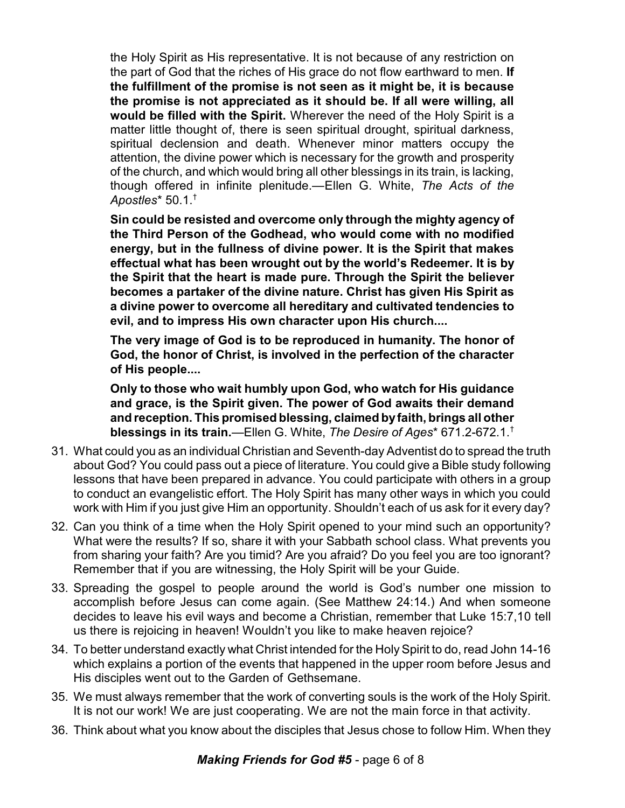the Holy Spirit as His representative. It is not because of any restriction on the part of God that the riches of His grace do not flow earthward to men. **If the fulfillment of the promise is not seen as it might be, it is because the promise is not appreciated as it should be. If all were willing, all would be filled with the Spirit.** Wherever the need of the Holy Spirit is a matter little thought of, there is seen spiritual drought, spiritual darkness, spiritual declension and death. Whenever minor matters occupy the attention, the divine power which is necessary for the growth and prosperity of the church, and which would bring all other blessings in its train, is lacking, though offered in infinite plenitude.—Ellen G. White, *The Acts of the Apostles*\* 50.1.†

**Sin could be resisted and overcome only through the mighty agency of the Third Person of the Godhead, who would come with no modified energy, but in the fullness of divine power. It is the Spirit that makes effectual what has been wrought out by the world's Redeemer. It is by the Spirit that the heart is made pure. Through the Spirit the believer becomes a partaker of the divine nature. Christ has given His Spirit as a divine power to overcome all hereditary and cultivated tendencies to evil, and to impress His own character upon His church....**

**The very image of God is to be reproduced in humanity. The honor of God, the honor of Christ, is involved in the perfection of the character of His people....**

**Only to those who wait humbly upon God, who watch for His guidance and grace, is the Spirit given. The power of God awaits their demand and reception. This promised blessing, claimed byfaith, brings all other blessings in its train.**—Ellen G. White, *The Desire of Ages*\* 671.2-672.1.†

- 31. What could you as an individual Christian and Seventh-day Adventist do to spread the truth about God? You could pass out a piece of literature. You could give a Bible study following lessons that have been prepared in advance. You could participate with others in a group to conduct an evangelistic effort. The Holy Spirit has many other ways in which you could work with Him if you just give Him an opportunity. Shouldn't each of us ask for it every day?
- 32. Can you think of a time when the Holy Spirit opened to your mind such an opportunity? What were the results? If so, share it with your Sabbath school class. What prevents you from sharing your faith? Are you timid? Are you afraid? Do you feel you are too ignorant? Remember that if you are witnessing, the Holy Spirit will be your Guide.
- 33. Spreading the gospel to people around the world is God's number one mission to accomplish before Jesus can come again. (See Matthew 24:14.) And when someone decides to leave his evil ways and become a Christian, remember that Luke 15:7,10 tell us there is rejoicing in heaven! Wouldn't you like to make heaven rejoice?
- 34. To better understand exactly what Christ intended for the Holy Spirit to do, read John 14-16 which explains a portion of the events that happened in the upper room before Jesus and His disciples went out to the Garden of Gethsemane.
- 35. We must always remember that the work of converting souls is the work of the Holy Spirit. It is not our work! We are just cooperating. We are not the main force in that activity.
- 36. Think about what you know about the disciples that Jesus chose to follow Him. When they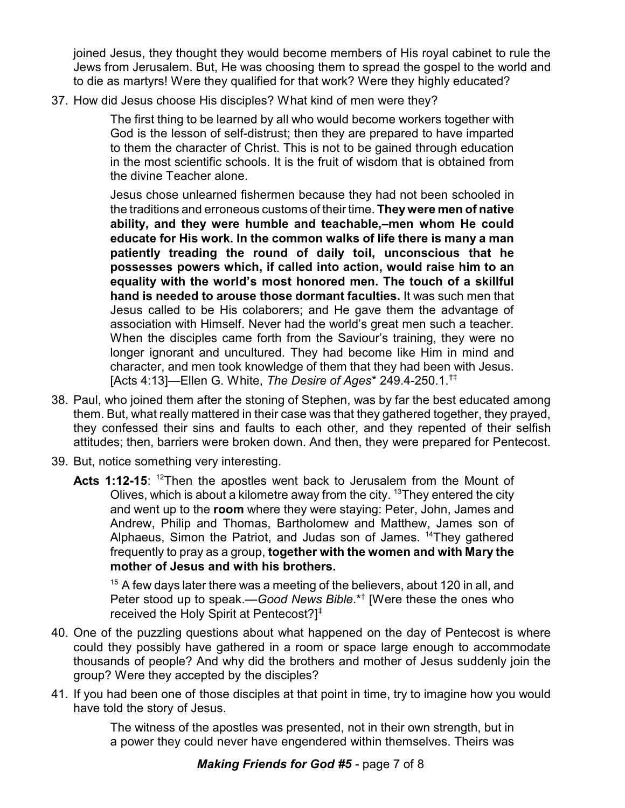joined Jesus, they thought they would become members of His royal cabinet to rule the Jews from Jerusalem. But, He was choosing them to spread the gospel to the world and to die as martyrs! Were they qualified for that work? Were they highly educated?

37. How did Jesus choose His disciples? What kind of men were they?

The first thing to be learned by all who would become workers together with God is the lesson of self-distrust; then they are prepared to have imparted to them the character of Christ. This is not to be gained through education in the most scientific schools. It is the fruit of wisdom that is obtained from the divine Teacher alone.

Jesus chose unlearned fishermen because they had not been schooled in the traditions and erroneous customs of their time. **Theywere men of native ability, and they were humble and teachable,–men whom He could educate for His work. In the common walks of life there is many a man patiently treading the round of daily toil, unconscious that he possesses powers which, if called into action, would raise him to an equality with the world's most honored men. The touch of a skillful hand is needed to arouse those dormant faculties.** It was such men that Jesus called to be His colaborers; and He gave them the advantage of association with Himself. Never had the world's great men such a teacher. When the disciples came forth from the Saviour's training, they were no longer ignorant and uncultured. They had become like Him in mind and character, and men took knowledge of them that they had been with Jesus. [Acts 4:13]—Ellen G. White, *The Desire of Ages*\* 249.4-250.1.†‡

- 38. Paul, who joined them after the stoning of Stephen, was by far the best educated among them. But, what really mattered in their case was that they gathered together, they prayed, they confessed their sins and faults to each other, and they repented of their selfish attitudes; then, barriers were broken down. And then, they were prepared for Pentecost.
- 39. But, notice something very interesting.
	- Acts 1:12-15: <sup>12</sup>Then the apostles went back to Jerusalem from the Mount of Olives, which is about a kilometre away from the city. <sup>13</sup>They entered the city and went up to the **room** where they were staying: Peter, John, James and Andrew, Philip and Thomas, Bartholomew and Matthew, James son of Alphaeus, Simon the Patriot, and Judas son of James. <sup>14</sup>They gathered frequently to pray as a group, **together with the women and with Mary the mother of Jesus and with his brothers.**

<sup>15</sup> A few days later there was a meeting of the believers, about 120 in all, and Peter stood up to speak.—*Good News Bible*.\*† [Were these the ones who received the Holy Spirit at Pentecost?]‡

- 40. One of the puzzling questions about what happened on the day of Pentecost is where could they possibly have gathered in a room or space large enough to accommodate thousands of people? And why did the brothers and mother of Jesus suddenly join the group? Were they accepted by the disciples?
- 41. If you had been one of those disciples at that point in time, try to imagine how you would have told the story of Jesus.

The witness of the apostles was presented, not in their own strength, but in a power they could never have engendered within themselves. Theirs was